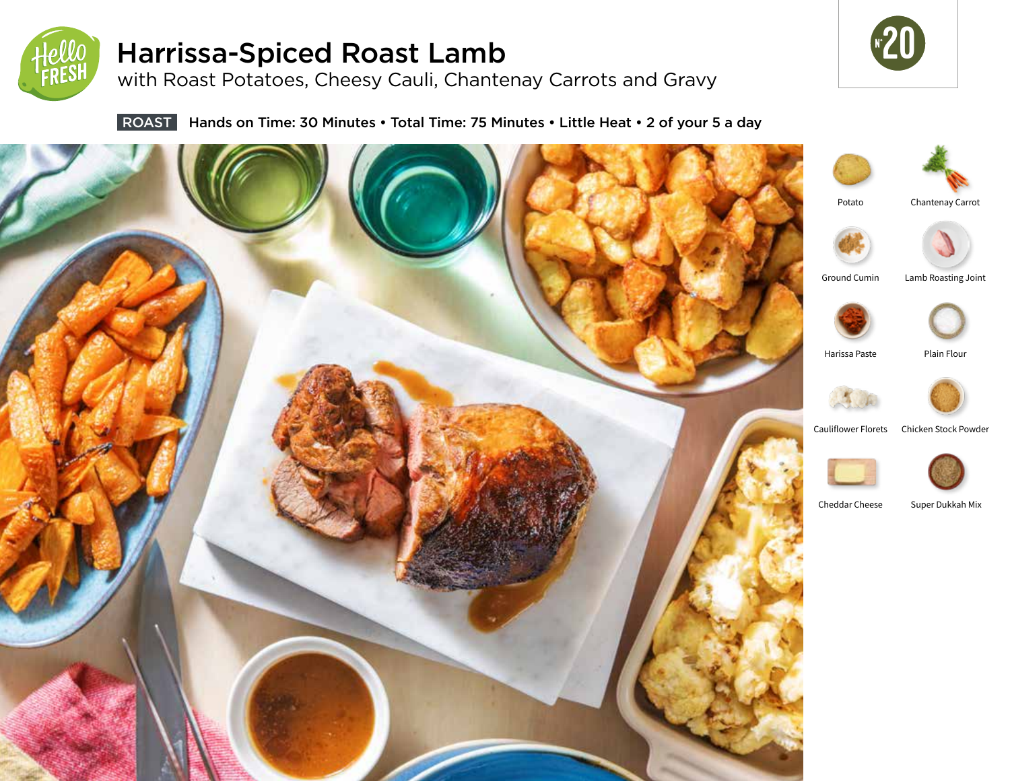

# Harrissa-Spiced Roast Lamb

with Roast Potatoes, Cheesy Cauli, Chantenay Carrots and Gravy



ROAST Hands on Time: 30 Minutes • Total Time: 75 Minutes • Little Heat • 2 of your 5 a day